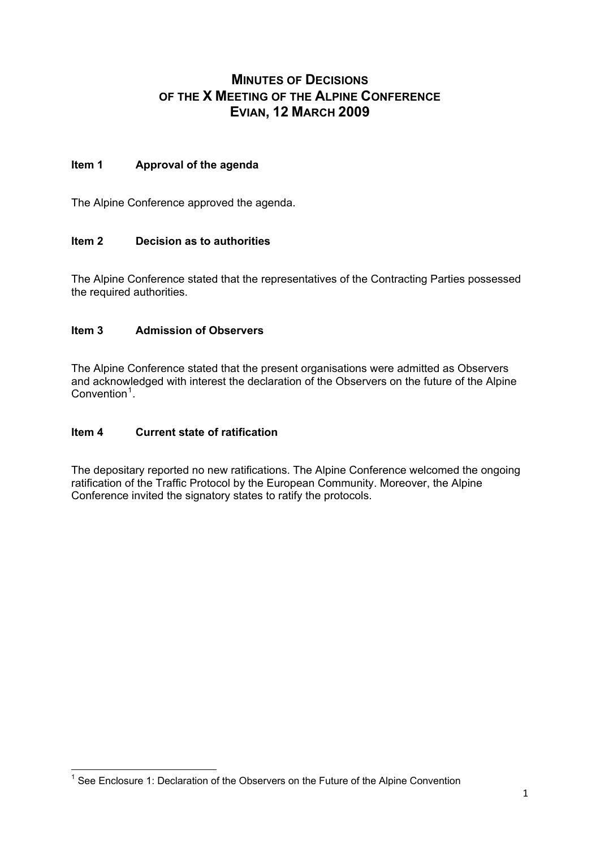# **MINUTES OF DECISIONS OF THE X MEETING OF THE ALPINE CONFERENCE EVIAN, 12 MARCH 2009**

# **Item 1 Approval of the agenda**

The Alpine Conference approved the agenda.

# **Item 2 Decision as to authorities**

The Alpine Conference stated that the representatives of the Contracting Parties possessed the required authorities.

# **Item 3 Admission of Observers**

The Alpine Conference stated that the present organisations were admitted as Observers and acknowledged with interest the declaration of the Observers on the future of the Alpine Convention<sup>[1](#page-0-0)</sup>.

### **Item 4 Current state of ratification**

The depositary reported no new ratifications. The Alpine Conference welcomed the ongoing ratification of the Traffic Protocol by the European Community. Moreover, the Alpine Conference invited the signatory states to ratify the protocols.

<span id="page-0-0"></span> 1 See Enclosure 1: Declaration of the Observers on the Future of the Alpine Convention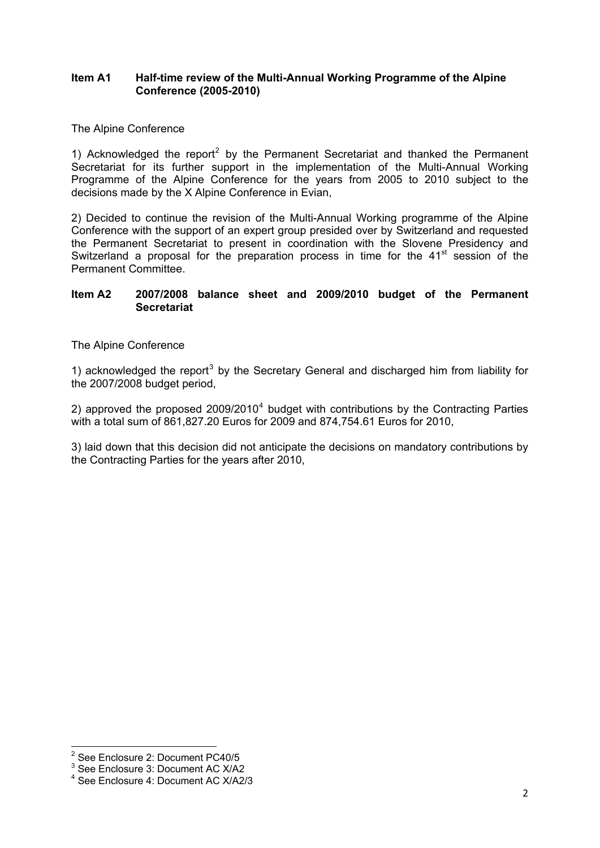### **Item A1 Half-time review of the Multi-Annual Working Programme of the Alpine Conference (2005-2010)**

### The Alpine Conference

1) Acknowledged the report<sup>[2](#page-1-0)</sup> by the Permanent Secretariat and thanked the Permanent Secretariat for its further support in the implementation of the Multi-Annual Working Programme of the Alpine Conference for the years from 2005 to 2010 subject to the decisions made by the X Alpine Conference in Evian,

2) Decided to continue the revision of the Multi-Annual Working programme of the Alpine Conference with the support of an expert group presided over by Switzerland and requested the Permanent Secretariat to present in coordination with the Slovene Presidency and Switzerland a proposal for the preparation process in time for the 41<sup>st</sup> session of the Permanent Committee.

### **Item A2 2007/2008 balance sheet and 2009/2010 budget of the Permanent Secretariat**

The Alpine Conference

1) acknowledged the report<sup>[3](#page-1-1)</sup> by the Secretary General and discharged him from liability for the 2007/2008 budget period,

2) approved the proposed  $2009/2010<sup>4</sup>$  $2009/2010<sup>4</sup>$  $2009/2010<sup>4</sup>$  budget with contributions by the Contracting Parties with a total sum of 861,827.20 Euros for 2009 and 874,754.61 Euros for 2010,

3) laid down that this decision did not anticipate the decisions on mandatory contributions by the Contracting Parties for the years after 2010,

 2 See Enclosure 2: Document PC40/5

<span id="page-1-1"></span><span id="page-1-0"></span><sup>&</sup>lt;sup>3</sup> See Enclosure 3: Document AC X/A2

<span id="page-1-2"></span><sup>4</sup> See Enclosure 4: Document AC X/A2/3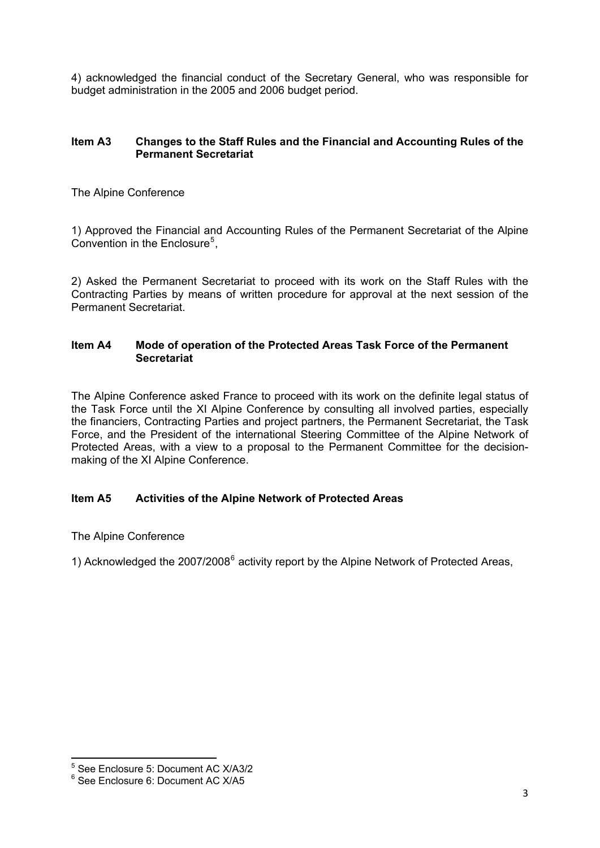4) acknowledged the financial conduct of the Secretary General, who was responsible for budget administration in the 2005 and 2006 budget period.

### **Item A3 Changes to the Staff Rules and the Financial and Accounting Rules of the Permanent Secretariat**

The Alpine Conference

1) Approved the Financial and Accounting Rules of the Permanent Secretariat of the Alpine Convention in the Enclosure<sup>[5](#page-2-0)</sup>,

2) Asked the Permanent Secretariat to proceed with its work on the Staff Rules with the Contracting Parties by means of written procedure for approval at the next session of the Permanent Secretariat.

### **Item A4 Mode of operation of the Protected Areas Task Force of the Permanent Secretariat**

The Alpine Conference asked France to proceed with its work on the definite legal status of the Task Force until the XI Alpine Conference by consulting all involved parties, especially the financiers, Contracting Parties and project partners, the Permanent Secretariat, the Task Force, and the President of the international Steering Committee of the Alpine Network of Protected Areas, with a view to a proposal to the Permanent Committee for the decisionmaking of the XI Alpine Conference.

# **Item A5 Activities of the Alpine Network of Protected Areas**

The Alpine Conference

1) Acknowledged the 2007/2008<sup>[6](#page-2-1)</sup> activity report by the Alpine Network of Protected Areas,

<span id="page-2-0"></span> 5 See Enclosure 5: Document AC X/A3/2

<span id="page-2-1"></span><sup>6</sup> See Enclosure 6: Document AC X/A5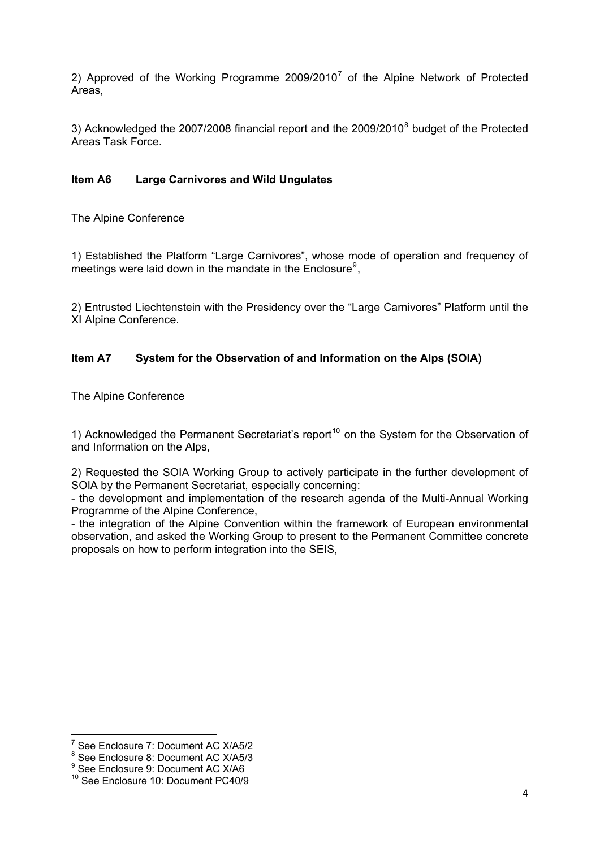2) Approved of the Working Programme 2009/2010<sup>[7](#page-3-0)</sup> of the Alpine Network of Protected Areas,

3) Acknowledged the 2007/200[8](#page-3-1) financial report and the 2009/2010<sup>8</sup> budget of the Protected Areas Task Force.

# **Item A6 Large Carnivores and Wild Ungulates**

The Alpine Conference

1) Established the Platform "Large Carnivores", whose mode of operation and frequency of meetings were laid down in the mandate in the Enclosure<sup>[9](#page-3-2)</sup>,

2) Entrusted Liechtenstein with the Presidency over the "Large Carnivores" Platform until the XI Alpine Conference.

# **Item A7 System for the Observation of and Information on the Alps (SOIA)**

The Alpine Conference

1) Acknowledged the Permanent Secretariat's report<sup>[10](#page-3-3)</sup> on the System for the Observation of and Information on the Alps,

2) Requested the SOIA Working Group to actively participate in the further development of SOIA by the Permanent Secretariat, especially concerning:

- the development and implementation of the research agenda of the Multi-Annual Working Programme of the Alpine Conference,

- the integration of the Alpine Convention within the framework of European environmental observation, and asked the Working Group to present to the Permanent Committee concrete proposals on how to perform integration into the SEIS,

<u> - Andreas Andreas Andreas Andreas Andreas Andreas Andreas Andreas Andreas Andreas Andreas Andreas Andreas Andr</u>

<span id="page-3-0"></span><sup>7</sup> See Enclosure 7: Document AC X/A5/2

<sup>8</sup> See Enclosure 8: Document AC X/A5/3

<span id="page-3-2"></span><span id="page-3-1"></span><sup>&</sup>lt;sup>9</sup> See Enclosure 9: Document AC X/A6

<span id="page-3-3"></span><sup>10</sup> See Enclosure 10: Document PC40/9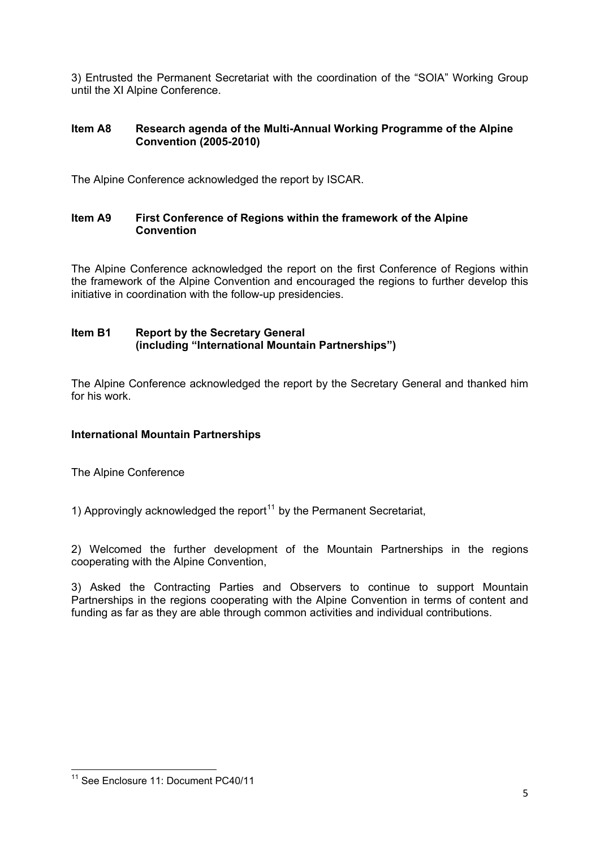3) Entrusted the Permanent Secretariat with the coordination of the "SOIA" Working Group until the XI Alpine Conference.

# **Item A8 Research agenda of the Multi-Annual Working Programme of the Alpine Convention (2005-2010)**

The Alpine Conference acknowledged the report by ISCAR.

### **Item A9 First Conference of Regions within the framework of the Alpine Convention**

The Alpine Conference acknowledged the report on the first Conference of Regions within the framework of the Alpine Convention and encouraged the regions to further develop this initiative in coordination with the follow-up presidencies.

### **Item B1 Report by the Secretary General (including "International Mountain Partnerships")**

The Alpine Conference acknowledged the report by the Secretary General and thanked him for his work.

# **International Mountain Partnerships**

The Alpine Conference

1) Approvingly acknowledged the report<sup>[11](#page-4-0)</sup> by the Permanent Secretariat,

2) Welcomed the further development of the Mountain Partnerships in the regions cooperating with the Alpine Convention,

3) Asked the Contracting Parties and Observers to continue to support Mountain Partnerships in the regions cooperating with the Alpine Convention in terms of content and funding as far as they are able through common activities and individual contributions.

<span id="page-4-0"></span><sup>&</sup>lt;u> Tanzania (h. 1878).</u><br>Igarraren 18a - Antonio III.a, frantziar espainiar eta idazlea (h. 1870). <sup>11</sup> See Enclosure 11: Document PC40/11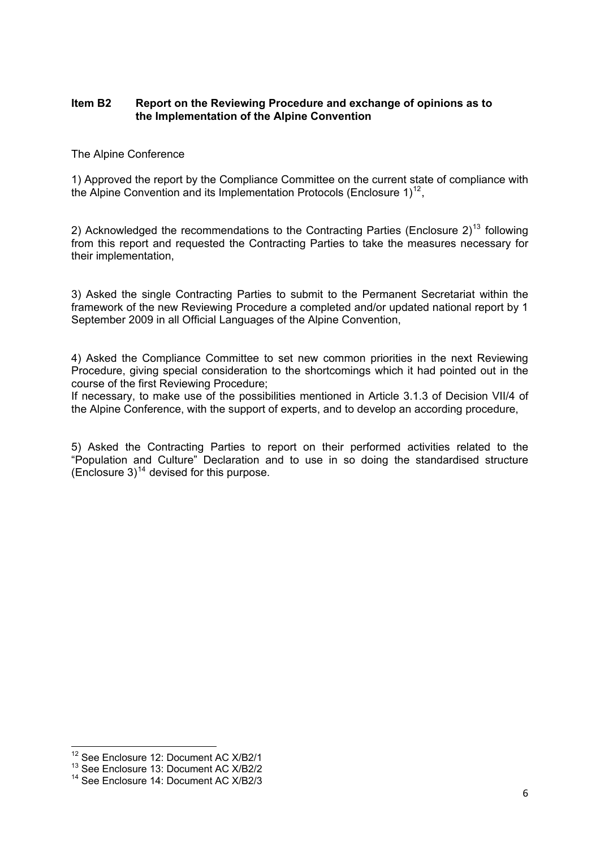### **Item B2 Report on the Reviewing Procedure and exchange of opinions as to the Implementation of the Alpine Convention**

#### The Alpine Conference

1) Approved the report by the Compliance Committee on the current state of compliance with the Alpine Convention and its Implementation Protocols (Enclosure  $1$ )<sup>[12](#page-5-0)</sup>.

2) Acknowledged the recommendations to the Contracting Parties (Enclosure  $2)^{13}$  $2)^{13}$  $2)^{13}$  following from this report and requested the Contracting Parties to take the measures necessary for their implementation,

3) Asked the single Contracting Parties to submit to the Permanent Secretariat within the framework of the new Reviewing Procedure a completed and/or updated national report by 1 September 2009 in all Official Languages of the Alpine Convention,

4) Asked the Compliance Committee to set new common priorities in the next Reviewing Procedure, giving special consideration to the shortcomings which it had pointed out in the course of the first Reviewing Procedure;

If necessary, to make use of the possibilities mentioned in Article 3.1.3 of Decision VII/4 of the Alpine Conference, with the support of experts, and to develop an according procedure,

5) Asked the Contracting Parties to report on their performed activities related to the "Population and Culture" Declaration and to use in so doing the standardised structure (Enclosure  $3)^{14}$  $3)^{14}$  $3)^{14}$  devised for this purpose.

<span id="page-5-0"></span> $^{12}$  See Enclosure 12: Document AC X/B2/1

<span id="page-5-1"></span><sup>13</sup> See Enclosure 13: Document AC X/B2/2

<span id="page-5-2"></span><sup>14</sup> See Enclosure 14: Document AC X/B2/3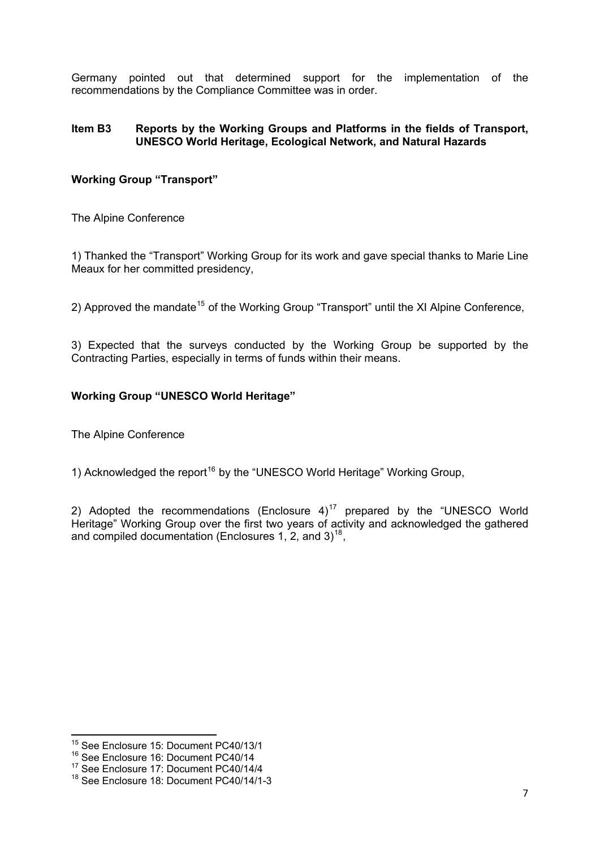Germany pointed out that determined support for the implementation of the recommendations by the Compliance Committee was in order.

### **Item B3 Reports by the Working Groups and Platforms in the fields of Transport, UNESCO World Heritage, Ecological Network, and Natural Hazards**

# **Working Group "Transport"**

The Alpine Conference

1) Thanked the "Transport" Working Group for its work and gave special thanks to Marie Line Meaux for her committed presidency,

2) Approved the mandate<sup>[15](#page-6-0)</sup> of the Working Group "Transport" until the XI Alpine Conference,

3) Expected that the surveys conducted by the Working Group be supported by the Contracting Parties, especially in terms of funds within their means.

# **Working Group "UNESCO World Heritage"**

The Alpine Conference

1) Acknowledged the report<sup>[16](#page-6-1)</sup> by the "UNESCO World Heritage" Working Group,

and compiled documentation (Enclosures 1, 2, and 3)<sup>18</sup>, 2) Adopted the recommendations (Enclosure  $4$ )<sup>[17](#page-6-2)</sup> prepared by the "UNESCO World Heritage" Working Group over the first two years of activity and acknowledged the gathered

<sup>&</sup>lt;u> Tanzania (h. 1878).</u><br>Igarraren 18a - Antonio III.a, frantziar espainiar eta idazlea (h. 1872). <sup>15</sup> See Enclosure 15: Document PC40/13/1

<span id="page-6-1"></span><span id="page-6-0"></span><sup>16</sup> See Enclosure 16: Document PC40/14

<span id="page-6-2"></span><sup>17</sup> See Enclosure 17: Document PC40/14/4

<sup>18</sup> See Enclosure 18: Document PC40/14/1-3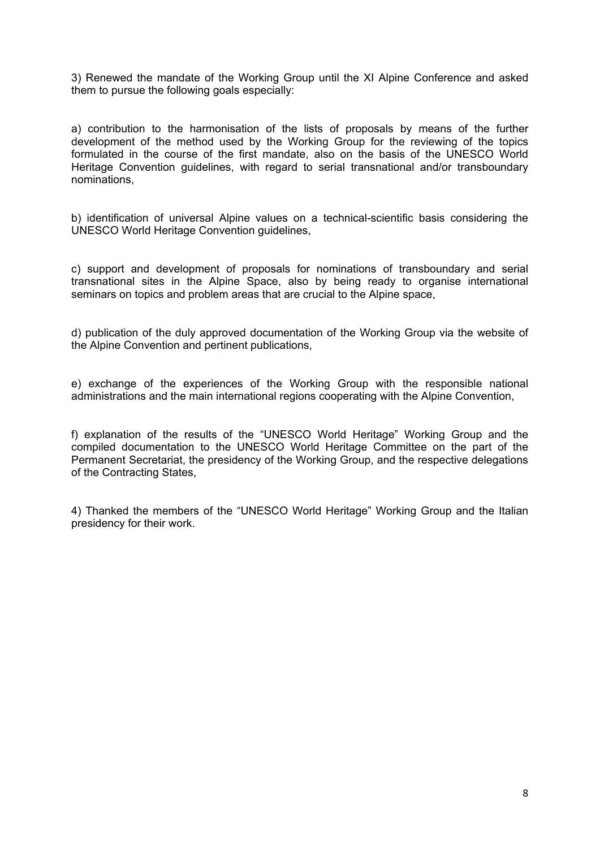3) Renewed the mandate of the Working Group until the XI Alpine Conference and asked them to pursue the following goals especially:

a) contribution to the harmonisation of the lists of proposals by means of the further development of the method used by the Working Group for the reviewing of the topics formulated in the course of the first mandate, also on the basis of the UNESCO World Heritage Convention guidelines, with regard to serial transnational and/or transboundary nominations,

b) identification of universal Alpine values on a technical-scientific basis considering the UNESCO World Heritage Convention guidelines,

c) support and development of proposals for nominations of transboundary and serial transnational sites in the Alpine Space, also by being ready to organise international seminars on topics and problem areas that are crucial to the Alpine space,

d) publication of the duly approved documentation of the Working Group via the website of the Alpine Convention and pertinent publications,

e) exchange of the experiences of the Working Group with the responsible national administrations and the main international regions cooperating with the Alpine Convention,

f) explanation of the results of the "UNESCO World Heritage" Working Group and the compiled documentation to the UNESCO World Heritage Committee on the part of the Permanent Secretariat, the presidency of the Working Group, and the respective delegations of the Contracting States,

4) Thanked the members of the "UNESCO World Heritage" Working Group and the Italian presidency for their work.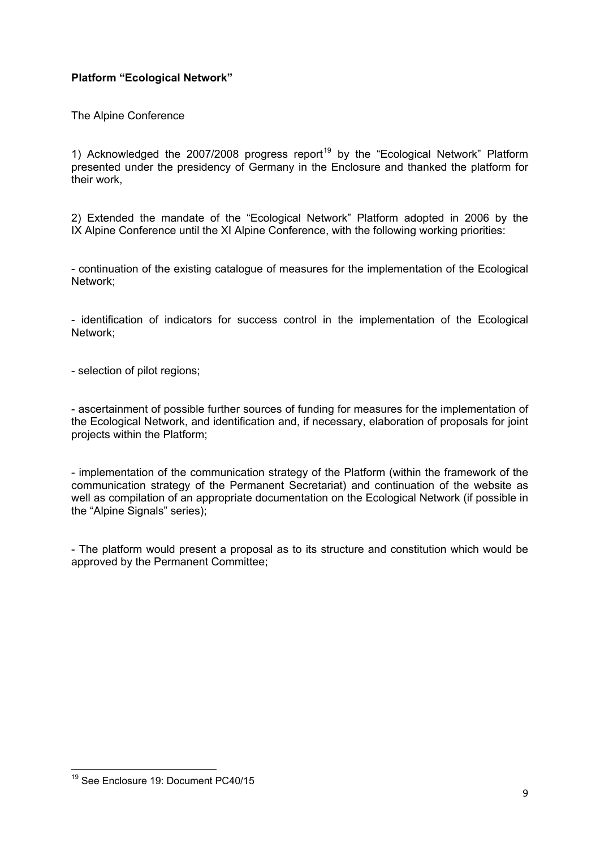# **Platform "Ecological Network"**

The Alpine Conference

1) Acknowledged the 2007/2008 progress report<sup>[19](#page-8-0)</sup> by the "Ecological Network" Platform presented under the presidency of Germany in the Enclosure and thanked the platform for their work,

2) Extended the mandate of the "Ecological Network" Platform adopted in 2006 by the IX Alpine Conference until the XI Alpine Conference, with the following working priorities:

- continuation of the existing catalogue of measures for the implementation of the Ecological Network;

- identification of indicators for success control in the implementation of the Ecological Network;

- selection of pilot regions;

- ascertainment of possible further sources of funding for measures for the implementation of the Ecological Network, and identification and, if necessary, elaboration of proposals for joint projects within the Platform;

- implementation of the communication strategy of the Platform (within the framework of the communication strategy of the Permanent Secretariat) and continuation of the website as well as compilation of an appropriate documentation on the Ecological Network (if possible in the "Alpine Signals" series);

- The platform would present a proposal as to its structure and constitution which would be approved by the Permanent Committee;

<span id="page-8-0"></span><sup>&</sup>lt;u> Tanzania (h. 1878).</u><br>Igarraren 18a - Antonio III.a, frantziar espainiar eta idazlea (h. 1870). <sup>19</sup> See Enclosure 19: Document PC40/15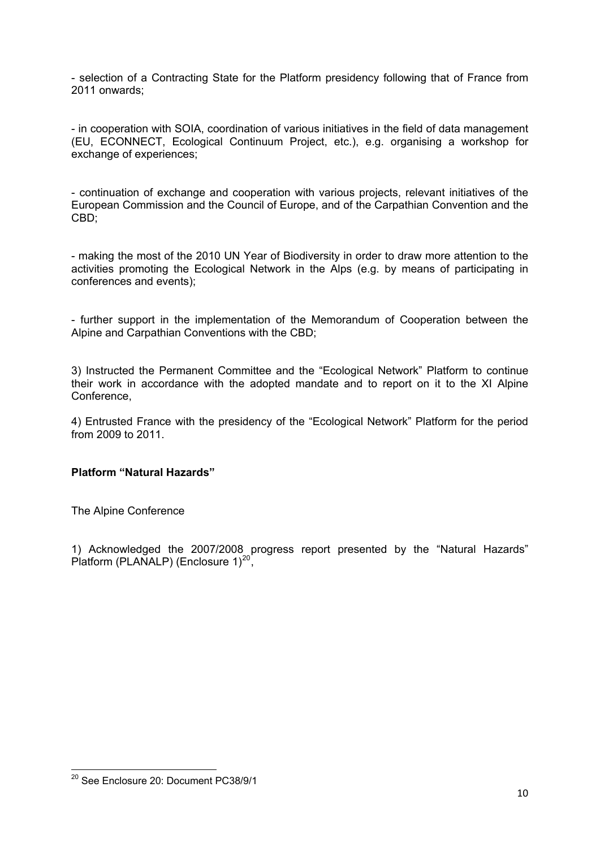- selection of a Contracting State for the Platform presidency following that of France from 2011 onwards;

- in cooperation with SOIA, coordination of various initiatives in the field of data management (EU, ECONNECT, Ecological Continuum Project, etc.), e.g. organising a workshop for exchange of experiences:

- continuation of exchange and cooperation with various projects, relevant initiatives of the European Commission and the Council of Europe, and of the Carpathian Convention and the CBD;

- making the most of the 2010 UN Year of Biodiversity in order to draw more attention to the activities promoting the Ecological Network in the Alps (e.g. by means of participating in conferences and events);

- further support in the implementation of the Memorandum of Cooperation between the Alpine and Carpathian Conventions with the CBD;

3) Instructed the Permanent Committee and the "Ecological Network" Platform to continue their work in accordance with the adopted mandate and to report on it to the XI Alpine Conference,

4) Entrusted France with the presidency of the "Ecological Network" Platform for the period from 2009 to 2011.

### **Platform "Natural Hazards"**

The Alpine Conference

1) Acknowledged the 2007/2008 progress report presented by the "Natural Hazards" Platform (PLANALP) (Enclosure  $1)^{20}$  $1)^{20}$  $1)^{20}$ ,

<span id="page-9-0"></span><sup>&</sup>lt;u> Tanzania (h. 1878).</u><br>Igarraren 18a - Antonio III.a eta Espainiako II.a eta Espainiako II.a eta Espainiako II.a eta Espainiako II.a <sup>20</sup> See Enclosure 20: Document PC38/9/1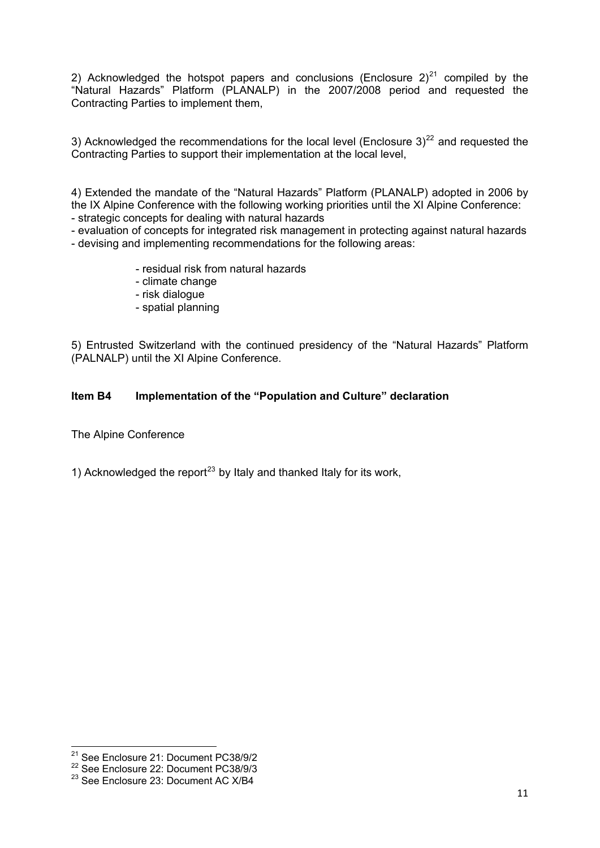2) Acknowledged the hotspot papers and conclusions (Enclosure  $2)^{21}$  $2)^{21}$  $2)^{21}$  compiled by the "Natural Hazards" Platform (PLANALP) in the 2007/2008 period and requested the Contracting Parties to implement them,

3) Acknowledged the recommendations for the local level (Enclosure 3)<sup>[22](#page-10-1)</sup> and requested the Contracting Parties to support their implementation at the local level,

4) Extended the mandate of the "Natural Hazards" Platform (PLANALP) adopted in 2006 by the IX Alpine Conference with the following working priorities until the XI Alpine Conference:

- strategic concepts for dealing with natural hazards

- evaluation of concepts for integrated risk management in protecting against natural hazards - devising and implementing recommendations for the following areas:

- residual risk from natural hazards
- climate change
- risk dialogue
- spatial planning

5) Entrusted Switzerland with the continued presidency of the "Natural Hazards" Platform (PALNALP) until the XI Alpine Conference.

# **Item B4 Implementation of the "Population and Culture" declaration**

The Alpine Conference

1) Acknowledged the report<sup>[23](#page-10-2)</sup> by Italy and thanked Italy for its work,

  $21$  See Enclosure 21: Document PC38/9/2

<span id="page-10-1"></span><span id="page-10-0"></span><sup>22</sup> See Enclosure 22: Document PC38/9/3

<span id="page-10-2"></span><sup>&</sup>lt;sup>23</sup> See Enclosure 23: Document AC X/B4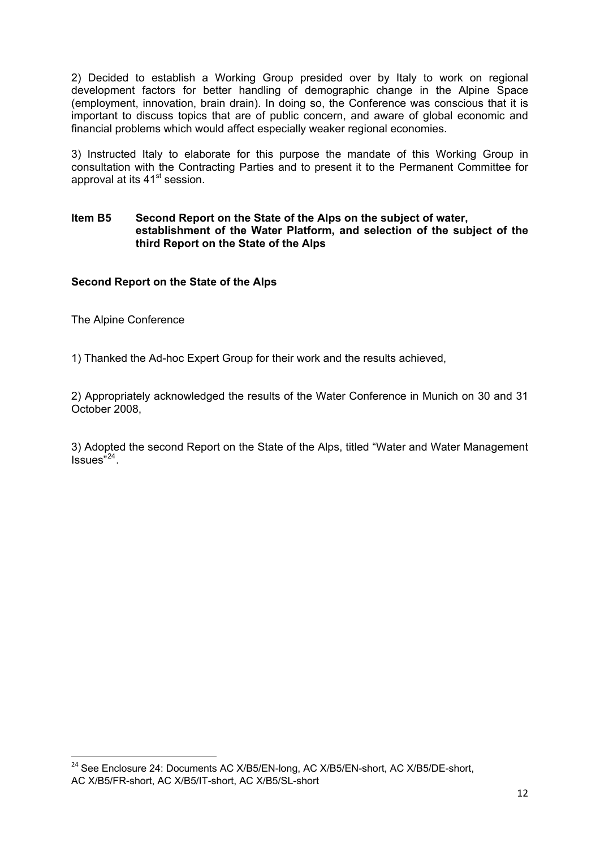2) Decided to establish a Working Group presided over by Italy to work on regional development factors for better handling of demographic change in the Alpine Space (employment, innovation, brain drain). In doing so, the Conference was conscious that it is important to discuss topics that are of public concern, and aware of global economic and financial problems which would affect especially weaker regional economies.

3) Instructed Italy to elaborate for this purpose the mandate of this Working Group in consultation with the Contracting Parties and to present it to the Permanent Committee for approval at its 41<sup>st</sup> session.

#### **Item B5 Second Report on the State of the Alps on the subject of water, establishment of the Water Platform, and selection of the subject of the third Report on the State of the Alps**

# **Second Report on the State of the Alps**

The Alpine Conference

1) Thanked the Ad-hoc Expert Group for their work and the results achieved,

2) Appropriately acknowledged the results of the Water Conference in Munich on 30 and 31 October 2008,

3) Adopted the second Report on the State of the Alps, titled "Water and Water Management  $Issues"^{24}$  $Issues"^{24}$  $Issues"^{24}$ 

<span id="page-11-0"></span><sup>&</sup>lt;sup>24</sup> See Enclosure 24: Documents AC X/B5/EN-long, AC X/B5/EN-short, AC X/B5/DE-short, AC X/B5/FR-short, AC X/B5/IT-short, AC X/B5/SL-short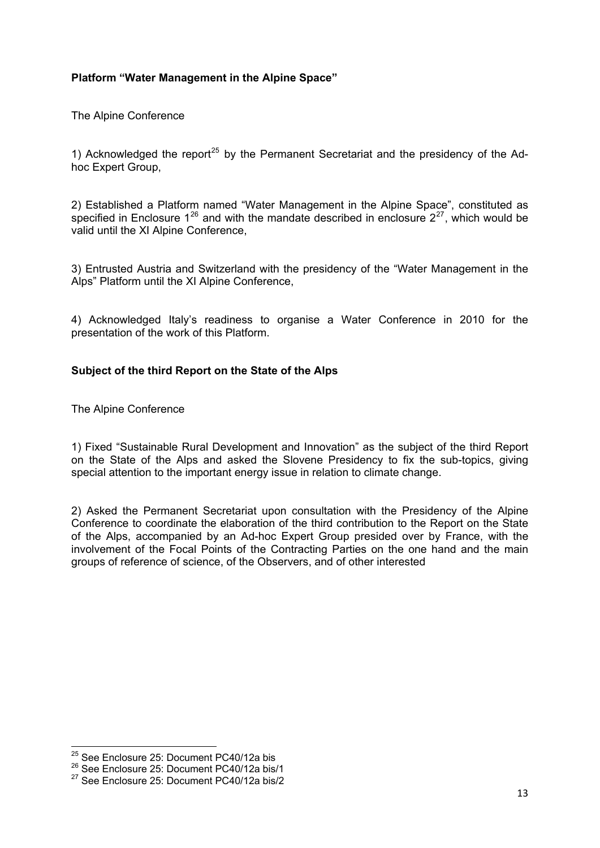# **Platform "Water Management in the Alpine Space"**

The Alpine Conference

hoc Expert Group, 1) Acknowledged the report<sup>[25](#page-12-0)</sup> by the Permanent Secretariat and the presidency of the Ad-

2) Established a Platform named "Water Management in the Alpine Space", constituted as specified in Enclosure  $1^{26}$  $1^{26}$  $1^{26}$  and with the mandate described in enclosure  $2^{27}$  $2^{27}$  $2^{27}$ , which would be valid until the XI Alpine Conference,

3) Entrusted Austria and Switzerland with the presidency of the "Water Management in the Alps" Platform until the XI Alpine Conference,

4) Acknowledged Italy's readiness to organise a Water Conference in 2010 for the presentation of the work of this Platform.

### **Subject of the third Report on the State of the Alps**

The Alpine Conference

1) Fixed "Sustainable Rural Development and Innovation" as the subject of the third Report on the State of the Alps and asked the Slovene Presidency to fix the sub-topics, giving special attention to the important energy issue in relation to climate change.

2) Asked the Permanent Secretariat upon consultation with the Presidency of the Alpine Conference to coordinate the elaboration of the third contribution to the Report on the State of the Alps, accompanied by an Ad-hoc Expert Group presided over by France, with the involvement of the Focal Points of the Contracting Parties on the one hand and the main groups of reference of science, of the Observers, and of other interested

  $^{25}$  See Enclosure 25: Document PC40/12a bis

<span id="page-12-1"></span><span id="page-12-0"></span><sup>26</sup> See Enclosure 25: Document PC40/12a bis/1

<span id="page-12-2"></span><sup>27</sup> See Enclosure 25: Document PC40/12a bis/2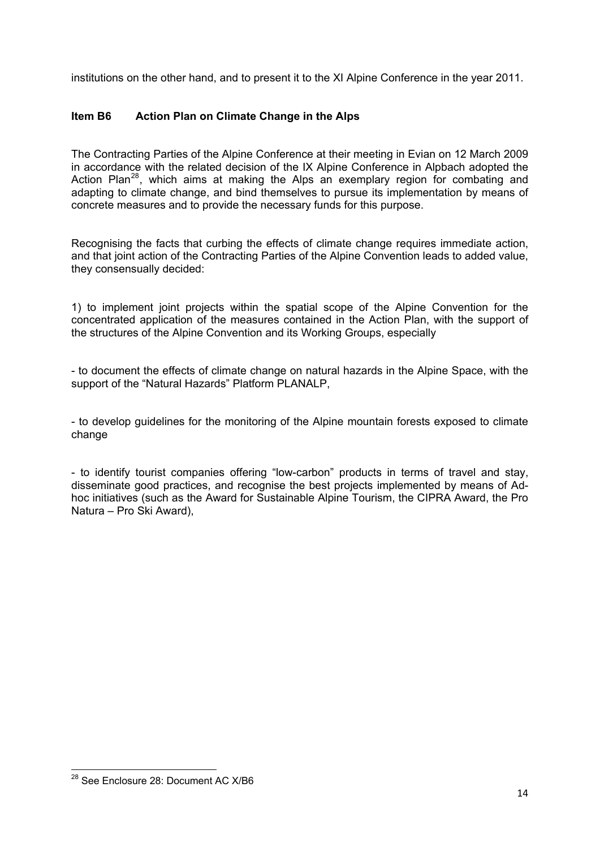institutions on the other hand, and to present it to the XI Alpine Conference in the year 2011.

# **Item B6 Action Plan on Climate Change in the Alps**

The Contracting Parties of the Alpine Conference at their meeting in Evian on 12 March 2009 in accordance with the related decision of the IX Alpine Conference in Alpbach adopted the Action Plan<sup>[28](#page-13-0)</sup>, which aims at making the Alps an exemplary region for combating and adapting to climate change, and bind themselves to pursue its implementation by means of concrete measures and to provide the necessary funds for this purpose.

Recognising the facts that curbing the effects of climate change requires immediate action, and that joint action of the Contracting Parties of the Alpine Convention leads to added value, they consensually decided:

1) to implement joint projects within the spatial scope of the Alpine Convention for the concentrated application of the measures contained in the Action Plan, with the support of the structures of the Alpine Convention and its Working Groups, especially

- to document the effects of climate change on natural hazards in the Alpine Space, with the support of the "Natural Hazards" Platform PLANALP,

- to develop guidelines for the monitoring of the Alpine mountain forests exposed to climate change

- to identify tourist companies offering "low-carbon" products in terms of travel and stay, disseminate good practices, and recognise the best projects implemented by means of Adhoc initiatives (such as the Award for Sustainable Alpine Tourism, the CIPRA Award, the Pro Natura – Pro Ski Award),

<span id="page-13-0"></span><sup>&</sup>lt;u> Tanzania (h. 1878).</u><br>Igarraren 18a - Antonio III.a eta Espainiako II.a eta Espainiako II.a eta Espainiako II.a eta Espainiako II.a <sup>28</sup> See Enclosure 28: Document AC X/B6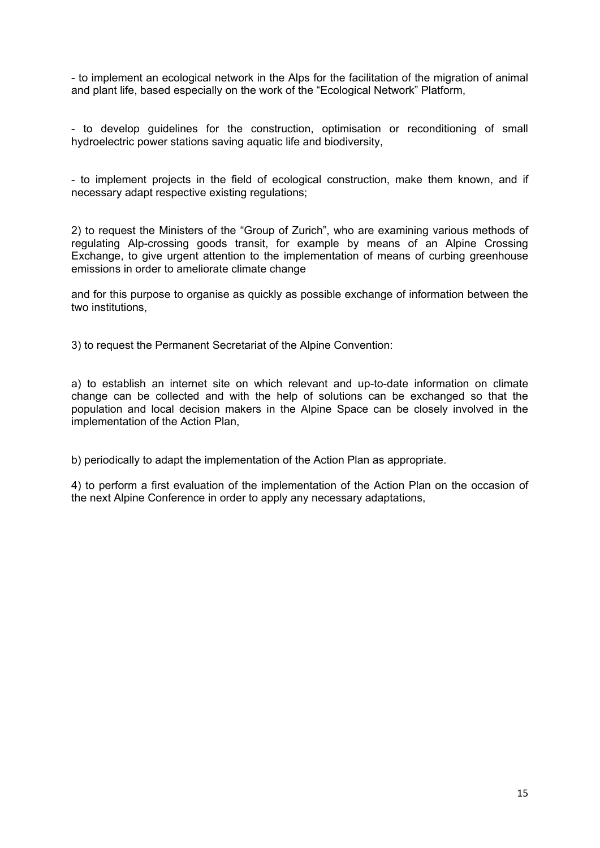- to implement an ecological network in the Alps for the facilitation of the migration of animal and plant life, based especially on the work of the "Ecological Network" Platform,

- to develop guidelines for the construction, optimisation or reconditioning of small hydroelectric power stations saving aquatic life and biodiversity,

- to implement projects in the field of ecological construction, make them known, and if necessary adapt respective existing regulations;

2) to request the Ministers of the "Group of Zurich", who are examining various methods of regulating Alp-crossing goods transit, for example by means of an Alpine Crossing Exchange, to give urgent attention to the implementation of means of curbing greenhouse emissions in order to ameliorate climate change

and for this purpose to organise as quickly as possible exchange of information between the two institutions,

3) to request the Permanent Secretariat of the Alpine Convention:

a) to establish an internet site on which relevant and up-to-date information on climate change can be collected and with the help of solutions can be exchanged so that the population and local decision makers in the Alpine Space can be closely involved in the implementation of the Action Plan,

b) periodically to adapt the implementation of the Action Plan as appropriate.

4) to perform a first evaluation of the implementation of the Action Plan on the occasion of the next Alpine Conference in order to apply any necessary adaptations,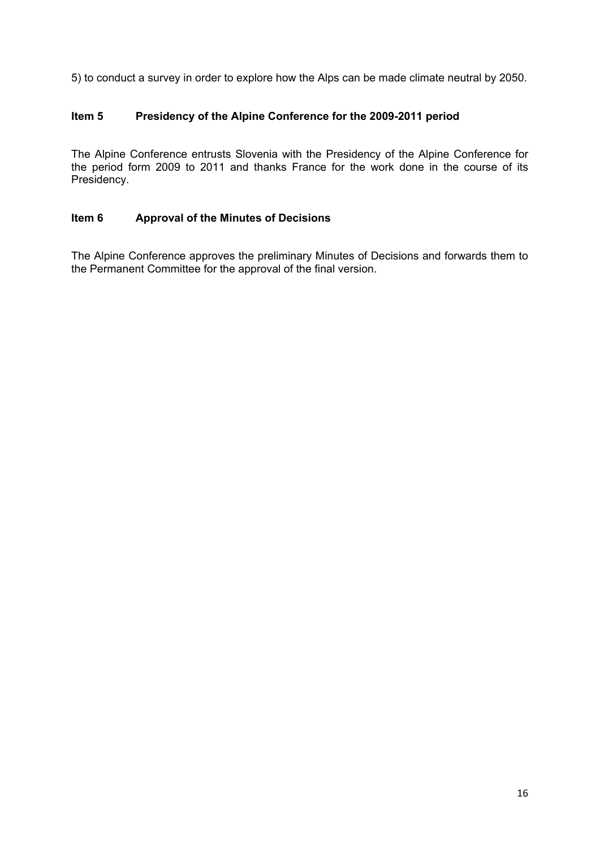5) to conduct a survey in order to explore how the Alps can be made climate neutral by 2050.

# **Item 5 Presidency of the Alpine Conference for the 2009-2011 period**

The Alpine Conference entrusts Slovenia with the Presidency of the Alpine Conference for the period form 2009 to 2011 and thanks France for the work done in the course of its Presidency.

# **Item 6 Approval of the Minutes of Decisions**

The Alpine Conference approves the preliminary Minutes of Decisions and forwards them to the Permanent Committee for the approval of the final version.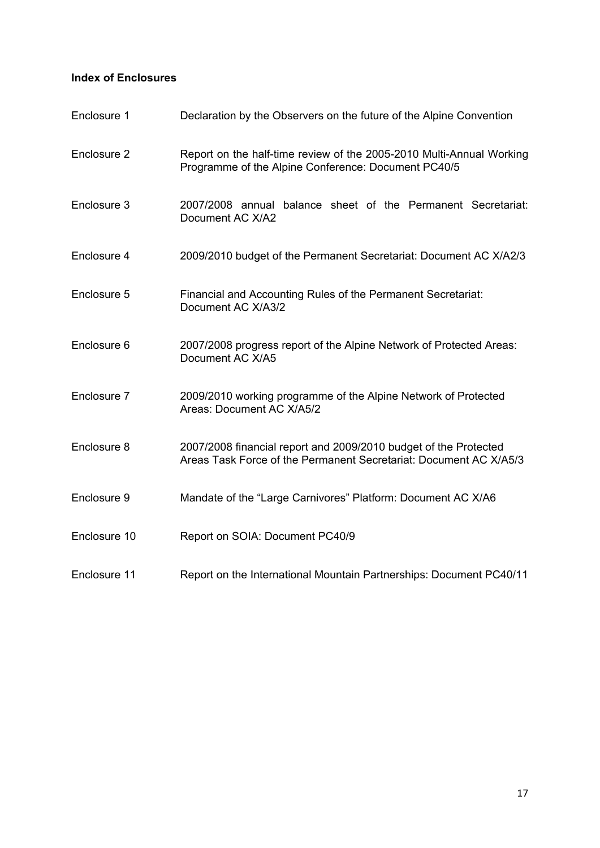# **Index of Enclosures**

| Enclosure 1  | Declaration by the Observers on the future of the Alpine Convention                                                                   |
|--------------|---------------------------------------------------------------------------------------------------------------------------------------|
| Enclosure 2  | Report on the half-time review of the 2005-2010 Multi-Annual Working<br>Programme of the Alpine Conference: Document PC40/5           |
| Enclosure 3  | 2007/2008 annual balance sheet of the Permanent Secretariat:<br>Document AC X/A2                                                      |
| Enclosure 4  | 2009/2010 budget of the Permanent Secretariat: Document AC X/A2/3                                                                     |
| Enclosure 5  | Financial and Accounting Rules of the Permanent Secretariat:<br>Document AC X/A3/2                                                    |
| Enclosure 6  | 2007/2008 progress report of the Alpine Network of Protected Areas:<br>Document AC X/A5                                               |
| Enclosure 7  | 2009/2010 working programme of the Alpine Network of Protected<br>Areas: Document AC X/A5/2                                           |
| Enclosure 8  | 2007/2008 financial report and 2009/2010 budget of the Protected<br>Areas Task Force of the Permanent Secretariat: Document AC X/A5/3 |
| Enclosure 9  | Mandate of the "Large Carnivores" Platform: Document AC X/A6                                                                          |
| Enclosure 10 | Report on SOIA: Document PC40/9                                                                                                       |
| Enclosure 11 | Report on the International Mountain Partnerships: Document PC40/11                                                                   |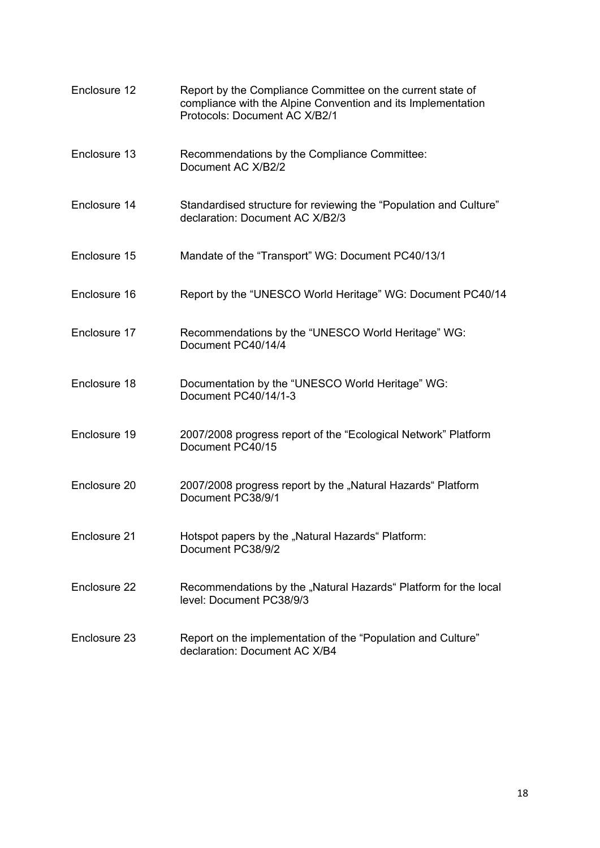| Enclosure 12 | Report by the Compliance Committee on the current state of<br>compliance with the Alpine Convention and its Implementation<br>Protocols: Document AC X/B2/1 |
|--------------|-------------------------------------------------------------------------------------------------------------------------------------------------------------|
| Enclosure 13 | Recommendations by the Compliance Committee:<br>Document AC X/B2/2                                                                                          |
| Enclosure 14 | Standardised structure for reviewing the "Population and Culture"<br>declaration: Document AC X/B2/3                                                        |
| Enclosure 15 | Mandate of the "Transport" WG: Document PC40/13/1                                                                                                           |
| Enclosure 16 | Report by the "UNESCO World Heritage" WG: Document PC40/14                                                                                                  |
| Enclosure 17 | Recommendations by the "UNESCO World Heritage" WG:<br>Document PC40/14/4                                                                                    |
| Enclosure 18 | Documentation by the "UNESCO World Heritage" WG:<br>Document PC40/14/1-3                                                                                    |
| Enclosure 19 | 2007/2008 progress report of the "Ecological Network" Platform<br>Document PC40/15                                                                          |
| Enclosure 20 | 2007/2008 progress report by the "Natural Hazards" Platform<br>Document PC38/9/1                                                                            |
| Enclosure 21 | Hotspot papers by the "Natural Hazards" Platform:<br>Document PC38/9/2                                                                                      |
| Enclosure 22 | Recommendations by the "Natural Hazards" Platform for the local<br>level: Document PC38/9/3                                                                 |
| Enclosure 23 | Report on the implementation of the "Population and Culture"<br>declaration: Document AC X/B4                                                               |